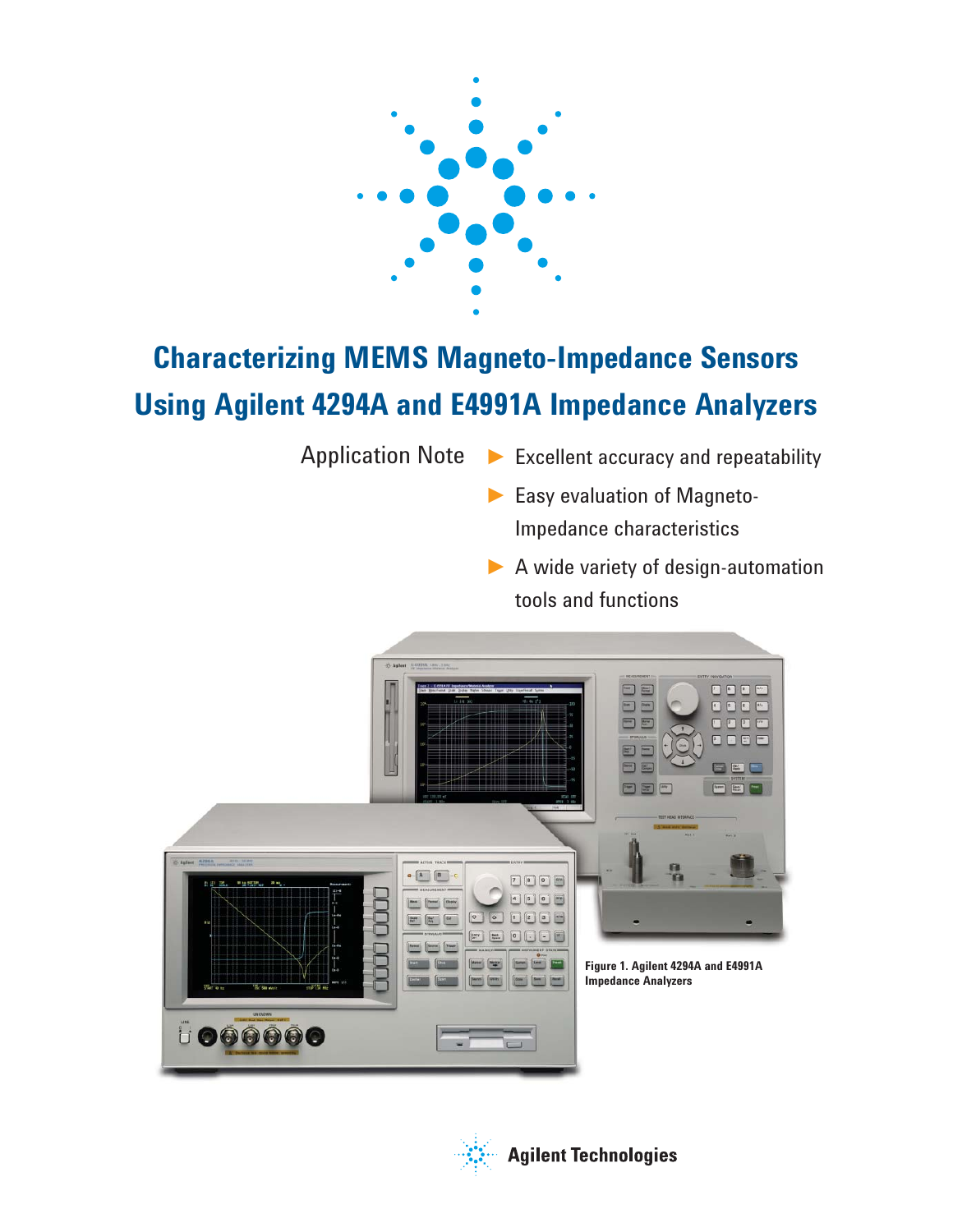

# **Characterizing MEMS Magneto-Impedance Sensors Using Agilent 4294A and E4991A Impedance Analyzers**

- Application Note ► Excellent accuracy and repeatability
	- ► Easy evaluation of Magneto-Impedance characteristics
	- ▶ A wide variety of design-automation tools and functions



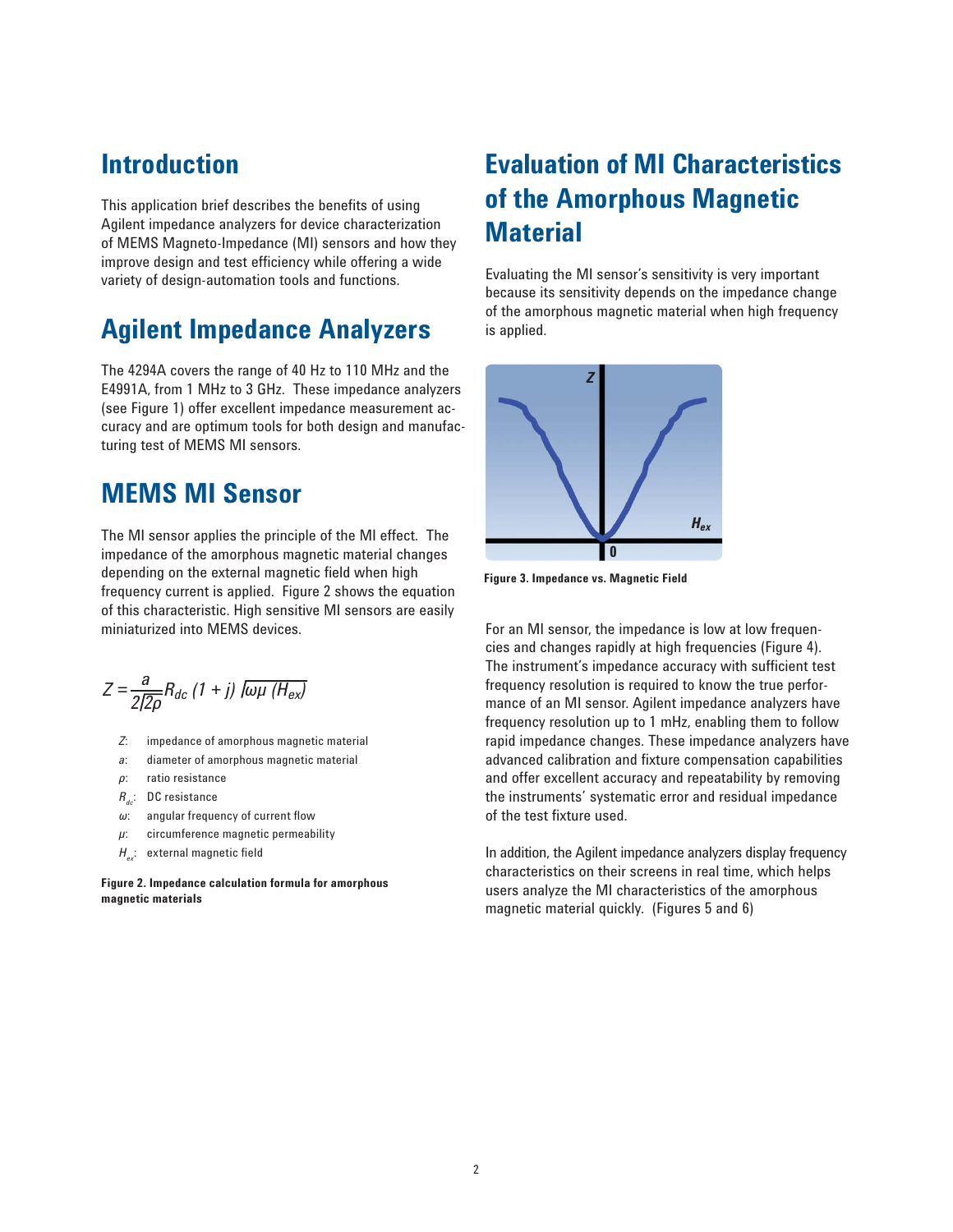## **Introduction**

This application brief describes the benefits of using Agilent impedance analyzers for device characterization of MEMS Magneto-Impedance (MI) sensors and how they improve design and test efficiency while offering a wide variety of design-automation tools and functions.

## **Agilent Impedance Analyzers**

The 4294A covers the range of 40 Hz to 110 MHz and the E4991A, from 1 MHz to 3 GHz. These impedance analyzers (see Figure 1) offer excellent impedance measurement accuracy and are optimum tools for both design and manufacturing test of MEMS MI sensors.

## **MEMS MI Sensor**

The MI sensor applies the principle of the MI effect. The impedance of the amorphous magnetic material changes depending on the external magnetic field when high frequency current is applied. Figure 2 shows the equation of this characteristic. High sensitive MI sensors are easily miniaturized into MEMS devices.

$$
Z = \frac{a}{2\sqrt{2\rho}} R_{dc} \left( 1 + j \right) \overline{ l \omega \mu \left( H_{ex} \right)}
$$

- *Z*: impedance of amorphous magnetic material
- *a*: diameter of amorphous magnetic material
- *ρ*: ratio resistance
- *R<sub>dc</sub>*: DC resistance
- *ω*: angular frequency of current flow
- *µ*: circumference magnetic permeability
- $H_{\text{av}}$ : external magnetic field

**Figure 2. Impedance calculation formula for amorphous magnetic materials** 

## **Evaluation of MI Characteristics of the Amorphous Magnetic Material**

Evaluating the MI sensor's sensitivity is very important because its sensitivity depends on the impedance change of the amorphous magnetic material when high frequency is applied.



**Figure 3. Impedance vs. Magnetic Field**

For an MI sensor, the impedance is low at low frequencies and changes rapidly at high frequencies (Figure 4). The instrument's impedance accuracy with sufficient test frequency resolution is required to know the true performance of an MI sensor. Agilent impedance analyzers have frequency resolution up to 1 mHz, enabling them to follow rapid impedance changes. These impedance analyzers have advanced calibration and fixture compensation capabilities and offer excellent accuracy and repeatability by removing the instruments' systematic error and residual impedance of the test fixture used.

In addition, the Agilent impedance analyzers display frequency characteristics on their screens in real time, which helps users analyze the MI characteristics of the amorphous magnetic material quickly. (Figures 5 and 6)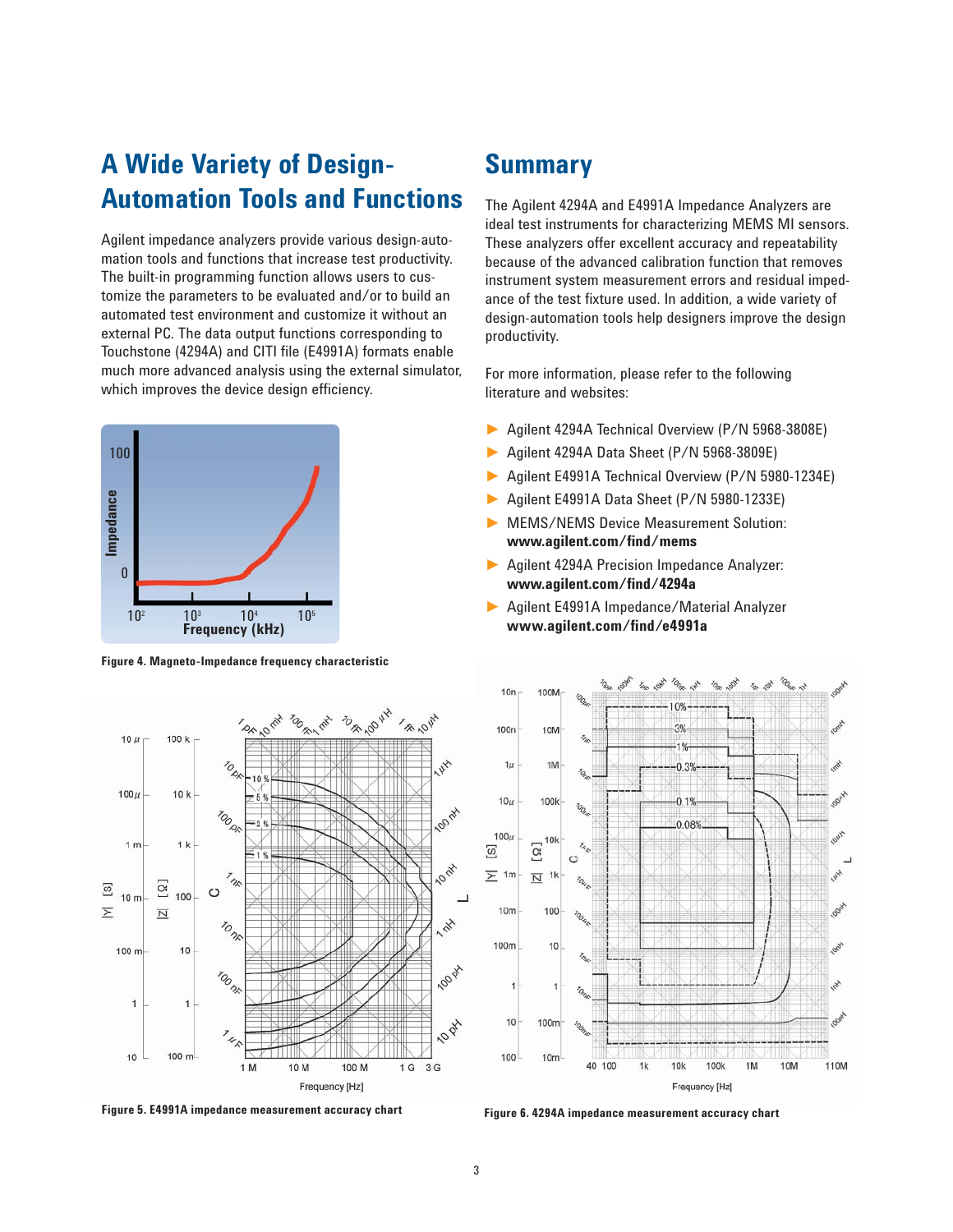## **A Wide Variety of Design-Automation Tools and Functions**

Agilent impedance analyzers provide various design-automation tools and functions that increase test productivity. The built-in programming function allows users to customize the parameters to be evaluated and/or to build an automated test environment and customize it without an external PC. The data output functions corresponding to Touchstone (4294A) and CITI file (E4991A) formats enable much more advanced analysis using the external simulator, which improves the device design efficiency.



**Figure 4. Magneto-Impedance frequency characteristic**

## **Summary**

The Agilent 4294A and E4991A Impedance Analyzers are ideal test instruments for characterizing MEMS MI sensors. These analyzers offer excellent accuracy and repeatability because of the advanced calibration function that removes instrument system measurement errors and residual impedance of the test fixture used. In addition, a wide variety of design-automation tools help designers improve the design productivity.

For more information, please refer to the following literature and websites:

- ► Agilent 4294A Technical Overview (P/N 5968-3808E)
- ► Agilent 4294A Data Sheet (P/N 5968-3809E)
- ► Agilent E4991A Technical Overview (P/N 5980-1234E)
- ► Agilent E4991A Data Sheet (P/N 5980-1233E)
- ► MEMS/NEMS Device Measurement Solution:  **www.agilent.com/fi nd/mems**
- ► Agilent 4294A Precision Impedance Analyzer: www.agilent.com/find/4294a
- ► Agilent E4991A Impedance/Material Analyzer  **www.agilent.com/fi nd/e4991a**



**Figure 5. E4991A impedance measurement accuracy chart Figure 6. 4294A impedance measurement accuracy chart**